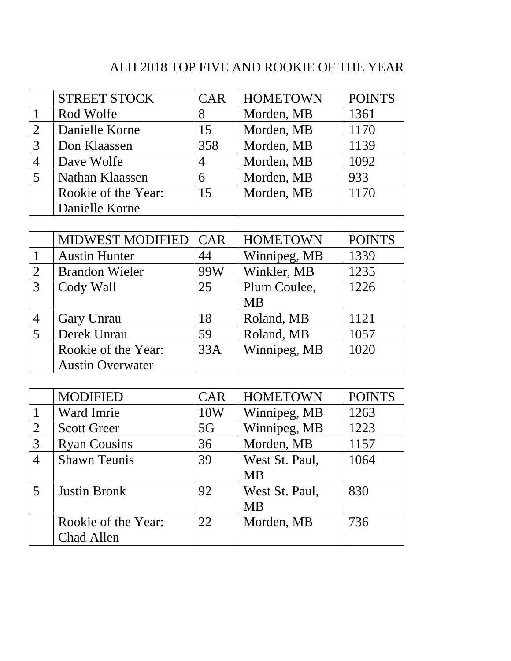## ALH 2018 TOP FIVE AND ROOKIE OF THE YEAR

|                | <b>STREET STOCK</b> | <b>CAR</b> | <b>HOMETOWN</b> | <b>POINTS</b> |
|----------------|---------------------|------------|-----------------|---------------|
|                | Rod Wolfe           | 8          | Morden, MB      | 1361          |
| $\mathfrak{D}$ | Danielle Korne      | 15         | Morden, MB      | 1170          |
| 3              | Don Klaassen        | 358        | Morden, MB      | 1139          |
|                | Dave Wolfe          | 4          | Morden, MB      | 1092          |
|                | Nathan Klaassen     | 6          | Morden, MB      | 933           |
|                | Rookie of the Year: | 15         | Morden, MB      | 1170          |
|                | Danielle Korne      |            |                 |               |

|   | <b>MIDWEST MODIFIED</b> | <b>CAR</b> | <b>HOMETOWN</b> | <b>POINTS</b> |
|---|-------------------------|------------|-----------------|---------------|
|   | <b>Austin Hunter</b>    | 44         | Winnipeg, MB    | 1339          |
| 2 | <b>Brandon Wieler</b>   | 99W        | Winkler, MB     | 1235          |
| 3 | Cody Wall               | 25         | Plum Coulee,    | 1226          |
|   |                         |            | <b>MB</b>       |               |
| 4 | Gary Unrau              | 18         | Roland, MB      | 1121          |
|   | Derek Unrau             | 59         | Roland, MB      | 1057          |
|   | Rookie of the Year:     | 33A        | Winnipeg, MB    | 1020          |
|   | <b>Austin Overwater</b> |            |                 |               |

|                | <b>MODIFIED</b>     | <b>CAR</b> | <b>HOMETOWN</b> | <b>POINTS</b> |
|----------------|---------------------|------------|-----------------|---------------|
|                | Ward Imrie          | 10W        | Winnipeg, MB    | 1263          |
| $\overline{2}$ | <b>Scott Greer</b>  | 5G         | Winnipeg, MB    | 1223          |
| 3              | <b>Ryan Cousins</b> | 36         | Morden, MB      | 1157          |
|                | <b>Shawn Teunis</b> | 39         | West St. Paul,  | 1064          |
|                |                     |            | <b>MB</b>       |               |
| 5              | <b>Justin Bronk</b> | 92         | West St. Paul,  | 830           |
|                |                     |            | <b>MB</b>       |               |
|                | Rookie of the Year: | 22         | Morden, MB      | 736           |
|                | Chad Allen          |            |                 |               |